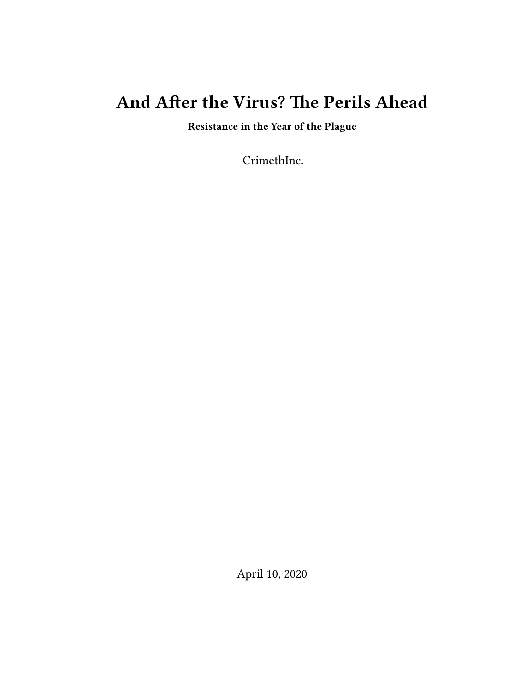# **And After the Virus? The Perils Ahead**

**Resistance in the Year of the Plague**

CrimethInc.

April 10, 2020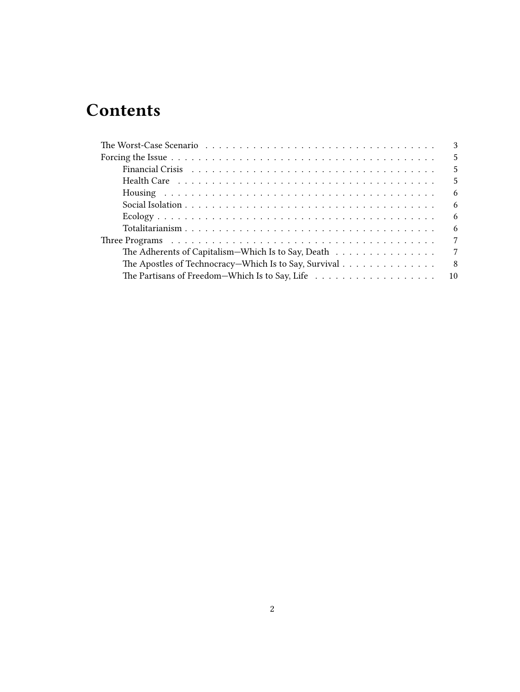# **Contents**

|                                                                                                         | $\mathbf{3}$    |
|---------------------------------------------------------------------------------------------------------|-----------------|
|                                                                                                         | 5               |
|                                                                                                         | 5               |
| Health Care $\dots \dots \dots \dots \dots \dots \dots \dots \dots \dots \dots \dots \dots \dots \dots$ | 5               |
|                                                                                                         | -6              |
|                                                                                                         | 6               |
|                                                                                                         | 6               |
|                                                                                                         | -6              |
|                                                                                                         | $7\phantom{.0}$ |
| The Adherents of Capitalism—Which Is to Say, Death $\dots \dots \dots \dots \dots$                      | $7\phantom{.0}$ |
| The Apostles of Technocracy—Which Is to Say, Survival                                                   | -8              |
|                                                                                                         |                 |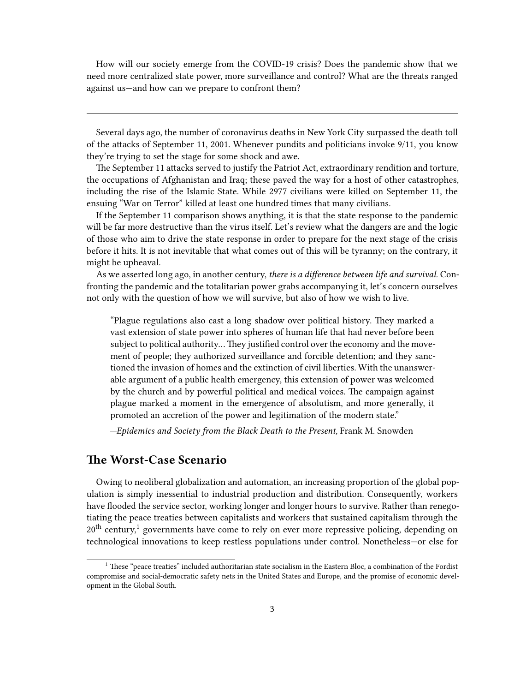How will our society emerge from the COVID-19 crisis? Does the pandemic show that we need more centralized state power, more surveillance and control? What are the threats ranged against us—and how can we prepare to confront them?

Several days ago, the number of coronavirus deaths in New York City surpassed the death toll of the attacks of September 11, 2001. Whenever pundits and politicians invoke 9/11, you know they're trying to set the stage for some shock and awe.

The September 11 attacks served to justify the Patriot Act, extraordinary rendition and torture, the occupations of Afghanistan and Iraq; these paved the way for a host of other catastrophes, including the rise of the Islamic State. While 2977 civilians were killed on September 11, the ensuing "War on Terror" killed at least one hundred times that many civilians.

If the September 11 comparison shows anything, it is that the state response to the pandemic will be far more destructive than the virus itself. Let's review what the dangers are and the logic of those who aim to drive the state response in order to prepare for the next stage of the crisis before it hits. It is not inevitable that what comes out of this will be tyranny; on the contrary, it might be upheaval.

As we asserted long ago, in another century, *there is a difference between life and survival.* Confronting the pandemic and the totalitarian power grabs accompanying it, let's concern ourselves not only with the question of how we will survive, but also of how we wish to live.

"Plague regulations also cast a long shadow over political history. They marked a vast extension of state power into spheres of human life that had never before been subject to political authority… They justified control over the economy and the movement of people; they authorized surveillance and forcible detention; and they sanctioned the invasion of homes and the extinction of civil liberties. With the unanswerable argument of a public health emergency, this extension of power was welcomed by the church and by powerful political and medical voices. The campaign against plague marked a moment in the emergence of absolutism, and more generally, it promoted an accretion of the power and legitimation of the modern state."

*—Epidemics and Society from the Black Death to the Present,* Frank M. Snowden

# <span id="page-2-0"></span>**The Worst-Case Scenario**

Owing to neoliberal globalization and automation, an increasing proportion of the global population is simply inessential to industrial production and distribution. Consequently, workers have flooded the service sector, working longer and longer hours to survive. Rather than renegotiating the peace treaties between capitalists and workers that sustained capitalism through the  $20<sup>th</sup>$  century,<sup>1</sup> governments have come to rely on ever more repressive policing, depending on technological innovations to keep restless populations under control. Nonetheless—or else for

 $1$  These "peace treaties" included authoritarian state socialism in the Eastern Bloc, a combination of the Fordist compromise and social-democratic safety nets in the United States and Europe, and the promise of economic development in the Global South.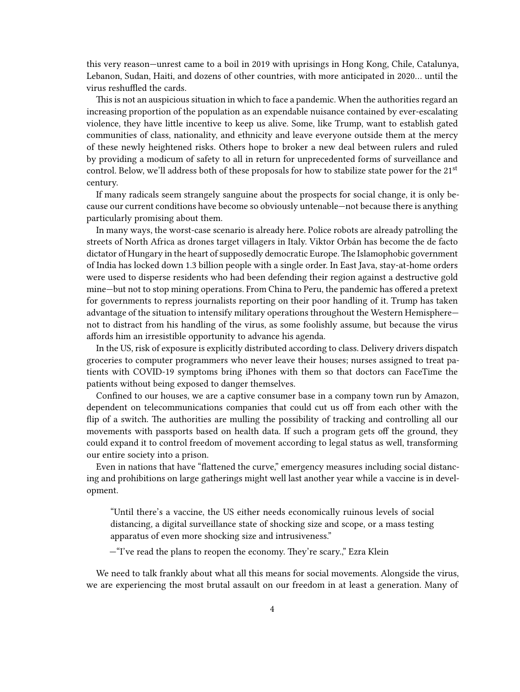this very reason—unrest came to a boil in 2019 with uprisings in Hong Kong, Chile, Catalunya, Lebanon, Sudan, Haiti, and dozens of other countries, with more anticipated in 2020… until the virus reshuffled the cards.

This is not an auspicious situation in which to face a pandemic. When the authorities regard an increasing proportion of the population as an expendable nuisance contained by ever-escalating violence, they have little incentive to keep us alive. Some, like Trump, want to establish gated communities of class, nationality, and ethnicity and leave everyone outside them at the mercy of these newly heightened risks. Others hope to broker a new deal between rulers and ruled by providing a modicum of safety to all in return for unprecedented forms of surveillance and control. Below, we'll address both of these proposals for how to stabilize state power for the  $21<sup>st</sup>$ century.

If many radicals seem strangely sanguine about the prospects for social change, it is only because our current conditions have become so obviously untenable—not because there is anything particularly promising about them.

In many ways, the worst-case scenario is already here. Police robots are already patrolling the streets of North Africa as drones target villagers in Italy. Viktor Orbán has become the de facto dictator of Hungary in the heart of supposedly democratic Europe. The Islamophobic government of India has locked down 1.3 billion people with a single order. In East Java, stay-at-home orders were used to disperse residents who had been defending their region against a destructive gold mine—but not to stop mining operations. From China to Peru, the pandemic has offered a pretext for governments to repress journalists reporting on their poor handling of it. Trump has taken advantage of the situation to intensify military operations throughout the Western Hemisphere not to distract from his handling of the virus, as some foolishly assume, but because the virus affords him an irresistible opportunity to advance his agenda.

In the US, risk of exposure is explicitly distributed according to class. Delivery drivers dispatch groceries to computer programmers who never leave their houses; nurses assigned to treat patients with COVID-19 symptoms bring iPhones with them so that doctors can FaceTime the patients without being exposed to danger themselves.

Confined to our houses, we are a captive consumer base in a company town run by Amazon, dependent on telecommunications companies that could cut us off from each other with the flip of a switch. The authorities are mulling the possibility of tracking and controlling all our movements with passports based on health data. If such a program gets off the ground, they could expand it to control freedom of movement according to legal status as well, transforming our entire society into a prison.

Even in nations that have "flattened the curve," emergency measures including social distancing and prohibitions on large gatherings might well last another year while a vaccine is in development.

"Until there's a vaccine, the US either needs economically ruinous levels of social distancing, a digital surveillance state of shocking size and scope, or a mass testing apparatus of even more shocking size and intrusiveness."

—"I've read the plans to reopen the economy. They're scary.," Ezra Klein

We need to talk frankly about what all this means for social movements. Alongside the virus, we are experiencing the most brutal assault on our freedom in at least a generation. Many of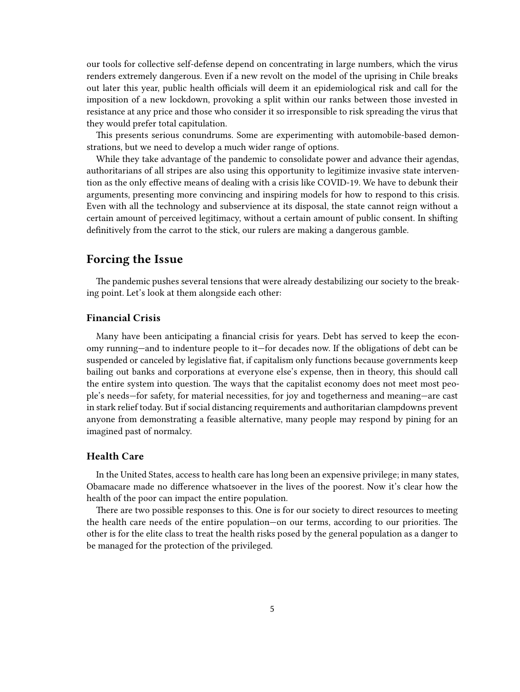our tools for collective self-defense depend on concentrating in large numbers, which the virus renders extremely dangerous. Even if a new revolt on the model of the uprising in Chile breaks out later this year, public health officials will deem it an epidemiological risk and call for the imposition of a new lockdown, provoking a split within our ranks between those invested in resistance at any price and those who consider it so irresponsible to risk spreading the virus that they would prefer total capitulation.

This presents serious conundrums. Some are experimenting with automobile-based demonstrations, but we need to develop a much wider range of options.

While they take advantage of the pandemic to consolidate power and advance their agendas, authoritarians of all stripes are also using this opportunity to legitimize invasive state intervention as the only effective means of dealing with a crisis like COVID-19. We have to debunk their arguments, presenting more convincing and inspiring models for how to respond to this crisis. Even with all the technology and subservience at its disposal, the state cannot reign without a certain amount of perceived legitimacy, without a certain amount of public consent. In shifting definitively from the carrot to the stick, our rulers are making a dangerous gamble.

# <span id="page-4-0"></span>**Forcing the Issue**

The pandemic pushes several tensions that were already destabilizing our society to the breaking point. Let's look at them alongside each other:

## <span id="page-4-1"></span>**Financial Crisis**

Many have been anticipating a financial crisis for years. Debt has served to keep the economy running—and to indenture people to it—for decades now. If the obligations of debt can be suspended or canceled by legislative fiat, if capitalism only functions because governments keep bailing out banks and corporations at everyone else's expense, then in theory, this should call the entire system into question. The ways that the capitalist economy does not meet most people's needs—for safety, for material necessities, for joy and togetherness and meaning—are cast in stark relief today. But if social distancing requirements and authoritarian clampdowns prevent anyone from demonstrating a feasible alternative, many people may respond by pining for an imagined past of normalcy.

#### <span id="page-4-2"></span>**Health Care**

In the United States, access to health care has long been an expensive privilege; in many states, Obamacare made no difference whatsoever in the lives of the poorest. Now it's clear how the health of the poor can impact the entire population.

There are two possible responses to this. One is for our society to direct resources to meeting the health care needs of the entire population—on our terms, according to our priorities. The other is for the elite class to treat the health risks posed by the general population as a danger to be managed for the protection of the privileged.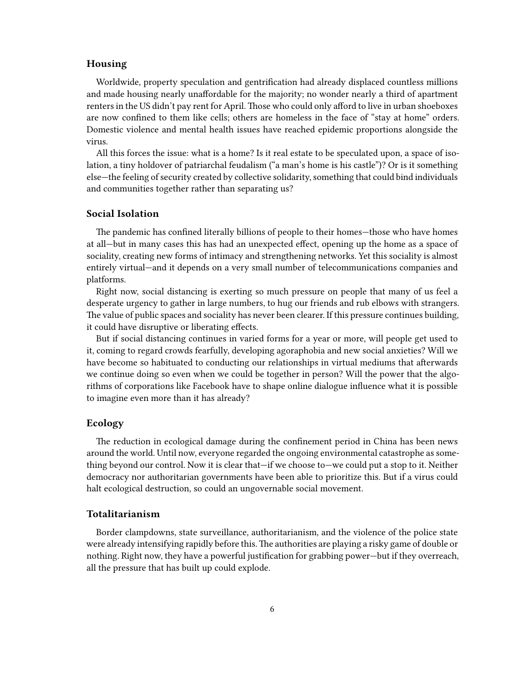### <span id="page-5-0"></span>**Housing**

Worldwide, property speculation and gentrification had already displaced countless millions and made housing nearly unaffordable for the majority; no wonder nearly a third of apartment renters in the US didn't pay rent for April. Those who could only afford to live in urban shoeboxes are now confined to them like cells; others are homeless in the face of "stay at home" orders. Domestic violence and mental health issues have reached epidemic proportions alongside the virus.

All this forces the issue: what is a home? Is it real estate to be speculated upon, a space of isolation, a tiny holdover of patriarchal feudalism ("a man's home is his castle")? Or is it something else—the feeling of security created by collective solidarity, something that could bind individuals and communities together rather than separating us?

#### <span id="page-5-1"></span>**Social Isolation**

The pandemic has confined literally billions of people to their homes—those who have homes at all—but in many cases this has had an unexpected effect, opening up the home as a space of sociality, creating new forms of intimacy and strengthening networks. Yet this sociality is almost entirely virtual—and it depends on a very small number of telecommunications companies and platforms.

Right now, social distancing is exerting so much pressure on people that many of us feel a desperate urgency to gather in large numbers, to hug our friends and rub elbows with strangers. The value of public spaces and sociality has never been clearer. If this pressure continues building, it could have disruptive or liberating effects.

But if social distancing continues in varied forms for a year or more, will people get used to it, coming to regard crowds fearfully, developing agoraphobia and new social anxieties? Will we have become so habituated to conducting our relationships in virtual mediums that afterwards we continue doing so even when we could be together in person? Will the power that the algorithms of corporations like Facebook have to shape online dialogue influence what it is possible to imagine even more than it has already?

### <span id="page-5-2"></span>**Ecology**

The reduction in ecological damage during the confinement period in China has been news around the world. Until now, everyone regarded the ongoing environmental catastrophe as something beyond our control. Now it is clear that—if we choose to—we could put a stop to it. Neither democracy nor authoritarian governments have been able to prioritize this. But if a virus could halt ecological destruction, so could an ungovernable social movement.

#### <span id="page-5-3"></span>**Totalitarianism**

Border clampdowns, state surveillance, authoritarianism, and the violence of the police state were already intensifying rapidly before this.The authorities are playing a risky game of double or nothing. Right now, they have a powerful justification for grabbing power—but if they overreach, all the pressure that has built up could explode.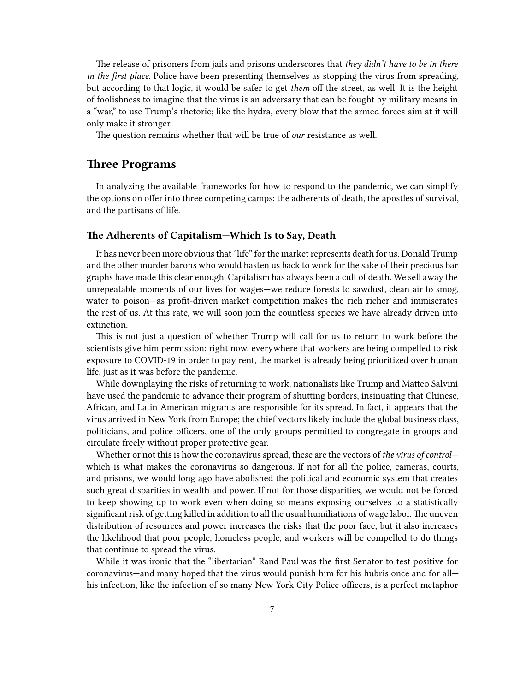The release of prisoners from jails and prisons underscores that *they didn't have to be in there in the first place.* Police have been presenting themselves as stopping the virus from spreading, but according to that logic, it would be safer to get *them* off the street, as well. It is the height of foolishness to imagine that the virus is an adversary that can be fought by military means in a "war," to use Trump's rhetoric; like the hydra, every blow that the armed forces aim at it will only make it stronger.

The question remains whether that will be true of *our* resistance as well.

## <span id="page-6-0"></span>**Three Programs**

In analyzing the available frameworks for how to respond to the pandemic, we can simplify the options on offer into three competing camps: the adherents of death, the apostles of survival, and the partisans of life.

#### <span id="page-6-1"></span>**The Adherents of Capitalism—Which Is to Say, Death**

It has never been more obvious that "life" for the market represents death for us. Donald Trump and the other murder barons who would hasten us back to work for the sake of their precious bar graphs have made this clear enough. Capitalism has always been a cult of death. We sell away the unrepeatable moments of our lives for wages—we reduce forests to sawdust, clean air to smog, water to poison—as profit-driven market competition makes the rich richer and immiserates the rest of us. At this rate, we will soon join the countless species we have already driven into extinction.

This is not just a question of whether Trump will call for us to return to work before the scientists give him permission; right now, everywhere that workers are being compelled to risk exposure to COVID-19 in order to pay rent, the market is already being prioritized over human life, just as it was before the pandemic.

While downplaying the risks of returning to work, nationalists like Trump and Matteo Salvini have used the pandemic to advance their program of shutting borders, insinuating that Chinese, African, and Latin American migrants are responsible for its spread. In fact, it appears that the virus arrived in New York from Europe; the chief vectors likely include the global business class, politicians, and police officers, one of the only groups permitted to congregate in groups and circulate freely without proper protective gear.

Whether or not this is how the coronavirus spread, these are the vectors of *the virus of control* which is what makes the coronavirus so dangerous. If not for all the police, cameras, courts, and prisons, we would long ago have abolished the political and economic system that creates such great disparities in wealth and power. If not for those disparities, we would not be forced to keep showing up to work even when doing so means exposing ourselves to a statistically significant risk of getting killed in addition to all the usual humiliations of wage labor. The uneven distribution of resources and power increases the risks that the poor face, but it also increases the likelihood that poor people, homeless people, and workers will be compelled to do things that continue to spread the virus.

While it was ironic that the "libertarian" Rand Paul was the first Senator to test positive for coronavirus—and many hoped that the virus would punish him for his hubris once and for all his infection, like the infection of so many New York City Police officers, is a perfect metaphor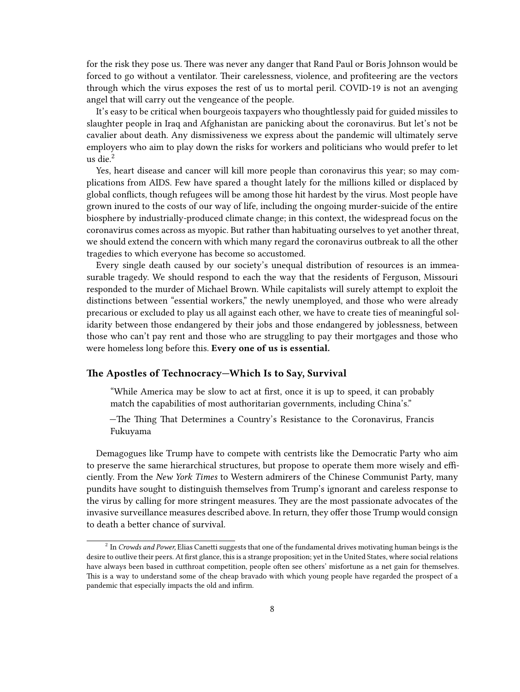for the risk they pose us. There was never any danger that Rand Paul or Boris Johnson would be forced to go without a ventilator. Their carelessness, violence, and profiteering are the vectors through which the virus exposes the rest of us to mortal peril. COVID-19 is not an avenging angel that will carry out the vengeance of the people.

It's easy to be critical when bourgeois taxpayers who thoughtlessly paid for guided missiles to slaughter people in Iraq and Afghanistan are panicking about the coronavirus. But let's not be cavalier about death. Any dismissiveness we express about the pandemic will ultimately serve employers who aim to play down the risks for workers and politicians who would prefer to let us die.<sup>2</sup>

Yes, heart disease and cancer will kill more people than coronavirus this year; so may complications from AIDS. Few have spared a thought lately for the millions killed or displaced by global conflicts, though refugees will be among those hit hardest by the virus. Most people have grown inured to the costs of our way of life, including the ongoing murder-suicide of the entire biosphere by industrially-produced climate change; in this context, the widespread focus on the coronavirus comes across as myopic. But rather than habituating ourselves to yet another threat, we should extend the concern with which many regard the coronavirus outbreak to all the other tragedies to which everyone has become so accustomed.

Every single death caused by our society's unequal distribution of resources is an immeasurable tragedy. We should respond to each the way that the residents of Ferguson, Missouri responded to the murder of Michael Brown. While capitalists will surely attempt to exploit the distinctions between "essential workers," the newly unemployed, and those who were already precarious or excluded to play us all against each other, we have to create ties of meaningful solidarity between those endangered by their jobs and those endangered by joblessness, between those who can't pay rent and those who are struggling to pay their mortgages and those who were homeless long before this. **Every one of us is essential.**

#### <span id="page-7-0"></span>**The Apostles of Technocracy—Which Is to Say, Survival**

"While America may be slow to act at first, once it is up to speed, it can probably match the capabilities of most authoritarian governments, including China's."

—The Thing That Determines a Country's Resistance to the Coronavirus, Francis Fukuyama

Demagogues like Trump have to compete with centrists like the Democratic Party who aim to preserve the same hierarchical structures, but propose to operate them more wisely and efficiently. From the *New York Times* to Western admirers of the Chinese Communist Party, many pundits have sought to distinguish themselves from Trump's ignorant and careless response to the virus by calling for more stringent measures. They are the most passionate advocates of the invasive surveillance measures described above. In return, they offer those Trump would consign to death a better chance of survival.

<sup>2</sup> In *Crowds and Power,* Elias Canetti suggests that one of the fundamental drives motivating human beings is the desire to outlive their peers. At first glance, this is a strange proposition; yet in the United States, where social relations have always been based in cutthroat competition, people often see others' misfortune as a net gain for themselves. This is a way to understand some of the cheap bravado with which young people have regarded the prospect of a pandemic that especially impacts the old and infirm.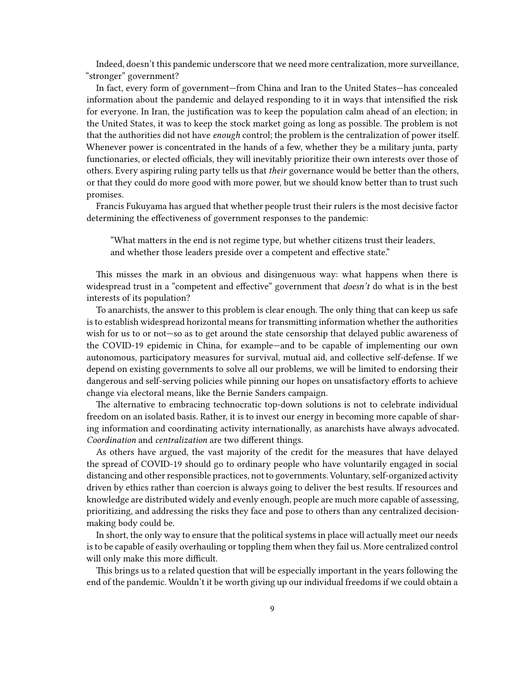Indeed, doesn't this pandemic underscore that we need more centralization, more surveillance, "stronger" government?

In fact, every form of government—from China and Iran to the United States—has concealed information about the pandemic and delayed responding to it in ways that intensified the risk for everyone. In Iran, the justification was to keep the population calm ahead of an election; in the United States, it was to keep the stock market going as long as possible. The problem is not that the authorities did not have *enough* control; the problem is the centralization of power itself. Whenever power is concentrated in the hands of a few, whether they be a military junta, party functionaries, or elected officials, they will inevitably prioritize their own interests over those of others. Every aspiring ruling party tells us that *their* governance would be better than the others, or that they could do more good with more power, but we should know better than to trust such promises.

Francis Fukuyama has argued that whether people trust their rulers is the most decisive factor determining the effectiveness of government responses to the pandemic:

"What matters in the end is not regime type, but whether citizens trust their leaders, and whether those leaders preside over a competent and effective state."

This misses the mark in an obvious and disingenuous way: what happens when there is widespread trust in a "competent and effective" government that *doesn't* do what is in the best interests of its population?

To anarchists, the answer to this problem is clear enough. The only thing that can keep us safe is to establish widespread horizontal means for transmitting information whether the authorities wish for us to or not—so as to get around the state censorship that delayed public awareness of the COVID-19 epidemic in China, for example—and to be capable of implementing our own autonomous, participatory measures for survival, mutual aid, and collective self-defense. If we depend on existing governments to solve all our problems, we will be limited to endorsing their dangerous and self-serving policies while pinning our hopes on unsatisfactory efforts to achieve change via electoral means, like the Bernie Sanders campaign.

The alternative to embracing technocratic top-down solutions is not to celebrate individual freedom on an isolated basis. Rather, it is to invest our energy in becoming more capable of sharing information and coordinating activity internationally, as anarchists have always advocated. *Coordination* and *centralization* are two different things.

As others have argued, the vast majority of the credit for the measures that have delayed the spread of COVID-19 should go to ordinary people who have voluntarily engaged in social distancing and other responsible practices, not to governments. Voluntary, self-organized activity driven by ethics rather than coercion is always going to deliver the best results. If resources and knowledge are distributed widely and evenly enough, people are much more capable of assessing, prioritizing, and addressing the risks they face and pose to others than any centralized decisionmaking body could be.

In short, the only way to ensure that the political systems in place will actually meet our needs is to be capable of easily overhauling or toppling them when they fail us. More centralized control will only make this more difficult.

This brings us to a related question that will be especially important in the years following the end of the pandemic. Wouldn't it be worth giving up our individual freedoms if we could obtain a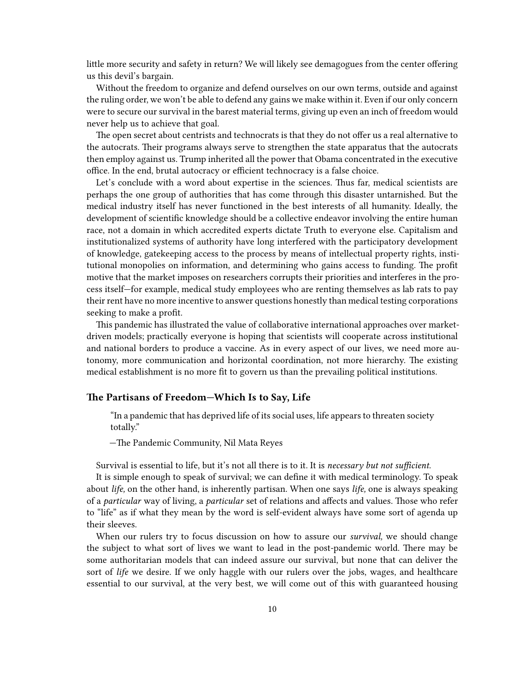little more security and safety in return? We will likely see demagogues from the center offering us this devil's bargain.

Without the freedom to organize and defend ourselves on our own terms, outside and against the ruling order, we won't be able to defend any gains we make within it. Even if our only concern were to secure our survival in the barest material terms, giving up even an inch of freedom would never help us to achieve that goal.

The open secret about centrists and technocrats is that they do not offer us a real alternative to the autocrats. Their programs always serve to strengthen the state apparatus that the autocrats then employ against us. Trump inherited all the power that Obama concentrated in the executive office. In the end, brutal autocracy or efficient technocracy is a false choice.

Let's conclude with a word about expertise in the sciences. Thus far, medical scientists are perhaps the one group of authorities that has come through this disaster untarnished. But the medical industry itself has never functioned in the best interests of all humanity. Ideally, the development of scientific knowledge should be a collective endeavor involving the entire human race, not a domain in which accredited experts dictate Truth to everyone else. Capitalism and institutionalized systems of authority have long interfered with the participatory development of knowledge, gatekeeping access to the process by means of intellectual property rights, institutional monopolies on information, and determining who gains access to funding. The profit motive that the market imposes on researchers corrupts their priorities and interferes in the process itself—for example, medical study employees who are renting themselves as lab rats to pay their rent have no more incentive to answer questions honestly than medical testing corporations seeking to make a profit.

This pandemic has illustrated the value of collaborative international approaches over marketdriven models; practically everyone is hoping that scientists will cooperate across institutional and national borders to produce a vaccine. As in every aspect of our lives, we need more autonomy, more communication and horizontal coordination, not more hierarchy. The existing medical establishment is no more fit to govern us than the prevailing political institutions.

#### <span id="page-9-0"></span>**The Partisans of Freedom—Which Is to Say, Life**

"In a pandemic that has deprived life of its social uses, life appears to threaten society totally."

—The Pandemic Community, Nil Mata Reyes

Survival is essential to life, but it's not all there is to it. It is *necessary but not sufficient.*

It is simple enough to speak of survival; we can define it with medical terminology. To speak about *life,* on the other hand, is inherently partisan. When one says *life,* one is always speaking of a *particular* way of living, a *particular* set of relations and affects and values. Those who refer to "life" as if what they mean by the word is self-evident always have some sort of agenda up their sleeves.

When our rulers try to focus discussion on how to assure our *survival,* we should change the subject to what sort of lives we want to lead in the post-pandemic world. There may be some authoritarian models that can indeed assure our survival, but none that can deliver the sort of *life* we desire. If we only haggle with our rulers over the jobs, wages, and healthcare essential to our survival, at the very best, we will come out of this with guaranteed housing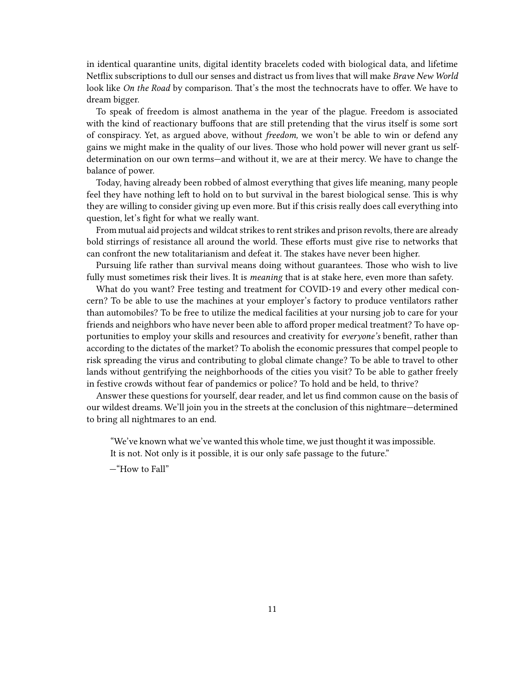in identical quarantine units, digital identity bracelets coded with biological data, and lifetime Netflix subscriptions to dull our senses and distract us from lives that will make *Brave New World* look like *On the Road* by comparison. That's the most the technocrats have to offer. We have to dream bigger.

To speak of freedom is almost anathema in the year of the plague. Freedom is associated with the kind of reactionary buffoons that are still pretending that the virus itself is some sort of conspiracy. Yet, as argued above, without *freedom,* we won't be able to win or defend any gains we might make in the quality of our lives. Those who hold power will never grant us selfdetermination on our own terms—and without it, we are at their mercy. We have to change the balance of power.

Today, having already been robbed of almost everything that gives life meaning, many people feel they have nothing left to hold on to but survival in the barest biological sense. This is why they are willing to consider giving up even more. But if this crisis really does call everything into question, let's fight for what we really want.

From mutual aid projects and wildcat strikes to rent strikes and prison revolts, there are already bold stirrings of resistance all around the world. These efforts must give rise to networks that can confront the new totalitarianism and defeat it. The stakes have never been higher.

Pursuing life rather than survival means doing without guarantees. Those who wish to live fully must sometimes risk their lives. It is *meaning* that is at stake here, even more than safety.

What do you want? Free testing and treatment for COVID-19 and every other medical concern? To be able to use the machines at your employer's factory to produce ventilators rather than automobiles? To be free to utilize the medical facilities at your nursing job to care for your friends and neighbors who have never been able to afford proper medical treatment? To have opportunities to employ your skills and resources and creativity for *everyone's* benefit, rather than according to the dictates of the market? To abolish the economic pressures that compel people to risk spreading the virus and contributing to global climate change? To be able to travel to other lands without gentrifying the neighborhoods of the cities you visit? To be able to gather freely in festive crowds without fear of pandemics or police? To hold and be held, to thrive?

Answer these questions for yourself, dear reader, and let us find common cause on the basis of our wildest dreams. We'll join you in the streets at the conclusion of this nightmare—determined to bring all nightmares to an end.

"We've known what we've wanted this whole time, we just thought it was impossible. It is not. Not only is it possible, it is our only safe passage to the future."

—"How to Fall"